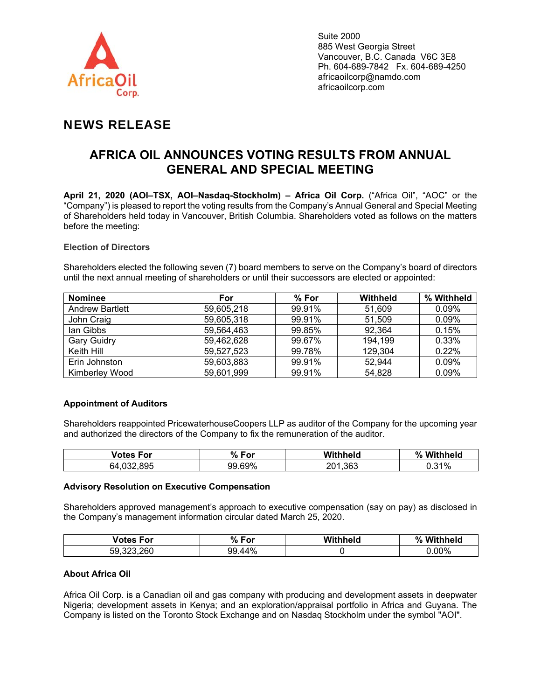

Suite 2000 885 West Georgia Street Vancouver, B.C. Canada V6C 3E8 Ph. 604-689-7842 Fx. 604-689-4250 africaoilcorp@namdo.com africaoilcorp.com

## NEWS RELEASE

# **AFRICA OIL ANNOUNCES VOTING RESULTS FROM ANNUAL GENERAL AND SPECIAL MEETING**

**April 21, 2020 (AOI–TSX, AOI–Nasdaq-Stockholm) – Africa Oil Corp.** ("Africa Oil", "AOC" or the "Company") is pleased to report the voting results from the Company's Annual General and Special Meeting of Shareholders held today in Vancouver, British Columbia. Shareholders voted as follows on the matters before the meeting:

#### **Election of Directors**

Shareholders elected the following seven (7) board members to serve on the Company's board of directors until the next annual meeting of shareholders or until their successors are elected or appointed:

| <b>Nominee</b>         | <b>For</b> | $%$ For | Withheld | % Withheld |
|------------------------|------------|---------|----------|------------|
| <b>Andrew Bartlett</b> | 59,605,218 | 99.91%  | 51,609   | 0.09%      |
| John Craig             | 59,605,318 | 99.91%  | 51,509   | 0.09%      |
| lan Gibbs              | 59,564,463 | 99.85%  | 92,364   | 0.15%      |
| <b>Gary Guidry</b>     | 59,462,628 | 99.67%  | 194,199  | 0.33%      |
| Keith Hill             | 59,527,523 | 99.78%  | 129,304  | 0.22%      |
| Erin Johnston          | 59,603,883 | 99.91%  | 52,944   | 0.09%      |
| Kimberley Wood         | 59,601,999 | 99.91%  | 54,828   | 0.09%      |

## **Appointment of Auditors**

Shareholders reappointed PricewaterhouseCoopers LLP as auditor of the Company for the upcoming year and authorized the directors of the Company to fix the remuneration of the auditor.

| Votes<br>For       | %<br>For | Withheld    | %<br>thheic<br>W. |
|--------------------|----------|-------------|-------------------|
| .895<br>.032<br>64 | 99.69%   | .363<br>701 | 31%<br>ו ט.ט      |

#### **Advisory Resolution on Executive Compensation**

Shareholders approved management's approach to executive compensation (say on pay) as disclosed in the Company's management information circular dated March 25, 2020.

| .<br>∃or            | Ω,<br>. .<br>- -<br>70.<br>וט: | Withheld | O.<br>70 |
|---------------------|--------------------------------|----------|----------|
| $\sim$<br>- 1<br>אכ | . 44%<br>nr<br>7٥              |          | 00%      |

#### **About Africa Oil**

Africa Oil Corp. is a Canadian oil and gas company with producing and development assets in deepwater Nigeria; development assets in Kenya; and an exploration/appraisal portfolio in Africa and Guyana. The Company is listed on the Toronto Stock Exchange and on Nasdaq Stockholm under the symbol "AOI".